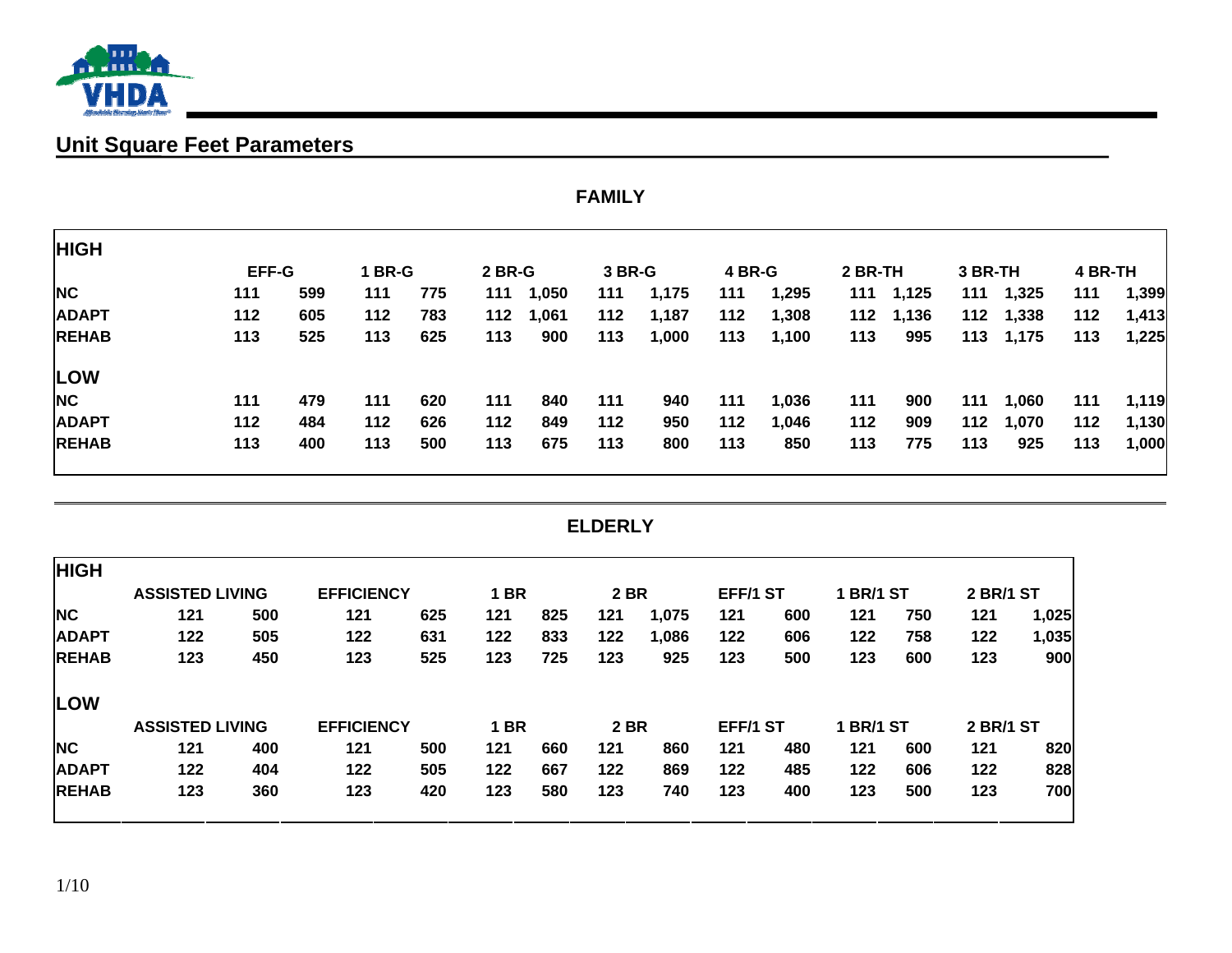

# **Unit Square Feet Parameters**

|              | <b>FAMILY</b> |     |               |     |               |       |        |       |        |       |         |           |         |           |         |       |
|--------------|---------------|-----|---------------|-----|---------------|-------|--------|-------|--------|-------|---------|-----------|---------|-----------|---------|-------|
| <b>HIGH</b>  |               |     |               |     |               |       |        |       |        |       |         |           |         |           |         |       |
|              | <b>EFF-G</b>  |     | <b>1 BR-G</b> |     | <b>2 BR-G</b> |       | 3 BR-G |       | 4 BR-G |       | 2 BR-TH |           | 3 BR-TH |           | 4 BR-TH |       |
| <b>NC</b>    | 111           | 599 | 111           | 775 | 111           | 1,050 | 111    | 1,175 | 111    | 1,295 |         | 111 1,125 |         | 111 1,325 | 111     | 1,399 |
| <b>ADAPT</b> | 112           | 605 | 112           | 783 | 112           | 1,061 | 112    | 1,187 | 112    | 1,308 |         | 112 1,136 |         | 112 1,338 | 112     | 1,413 |
| <b>REHAB</b> | 113           | 525 | 113           | 625 | 113           | 900   | 113    | 1,000 | 113    | 1,100 | 113     | 995       |         | 113 1,175 | 113     | 1,225 |
| LOW          |               |     |               |     |               |       |        |       |        |       |         |           |         |           |         |       |
| <b>NC</b>    | 111           | 479 | 111           | 620 | 111           | 840   | 111    | 940   | 111    | 1,036 | 111     | 900       | 111     | 1,060     | 111     | 1,119 |
| <b>ADAPT</b> | 112           | 484 | 112           | 626 | 112           | 849   | 112    | 950   | 112    | 1,046 | 112     | 909       | 112     | 1,070     | 112     | 1,130 |
| <b>REHAB</b> | 113           | 400 | 113           | 500 | 113           | 675   | 113    | 800   | 113    | 850   | 113     | 775       | 113     | 925       | 113     | 1,000 |

#### **ELDERLY**

| <b>HIGH</b>  |                        |     |                   |     |             |     |             |       |          |     |                  |     |                  |       |
|--------------|------------------------|-----|-------------------|-----|-------------|-----|-------------|-------|----------|-----|------------------|-----|------------------|-------|
|              | <b>ASSISTED LIVING</b> |     | <b>EFFICIENCY</b> |     | <b>1 BR</b> |     | <b>2 BR</b> |       | EFF/1 ST |     | <b>1 BR/1 ST</b> |     | <b>2 BR/1 ST</b> |       |
| <b>NC</b>    | 121                    | 500 | 121               | 625 | 121         | 825 | 121         | 1,075 | 121      | 600 | 121              | 750 | 121              | 1,025 |
| <b>ADAPT</b> | 122                    | 505 | 122               | 631 | 122         | 833 | 122         | 1,086 | 122      | 606 | 122              | 758 | 122              | 1,035 |
| <b>REHAB</b> | 123                    | 450 | 123               | 525 | 123         | 725 | 123         | 925   | 123      | 500 | 123              | 600 | 123              | 900   |
| <b>LOW</b>   |                        |     |                   |     |             |     |             |       |          |     |                  |     |                  |       |
|              | <b>ASSISTED LIVING</b> |     | <b>EFFICIENCY</b> |     | <b>1 BR</b> |     | <b>2 BR</b> |       | EFF/1 ST |     | <b>1 BR/1 ST</b> |     | <b>2 BR/1 ST</b> |       |
| <b>NC</b>    | 121                    | 400 | 121               | 500 | 121         | 660 | 121         | 860   | 121      | 480 | 121              | 600 | 121              | 820   |
| <b>ADAPT</b> | 122                    | 404 | 122               | 505 | 122         | 667 | 122         | 869   | 122      | 485 | 122              | 606 | 122              | 828   |
| <b>REHAB</b> | 123                    | 360 | 123               | 420 | 123         | 580 | 123         | 740   | 123      | 400 | 123              | 500 | 123              | 700   |
|              |                        |     |                   |     |             |     |             |       |          |     |                  |     |                  |       |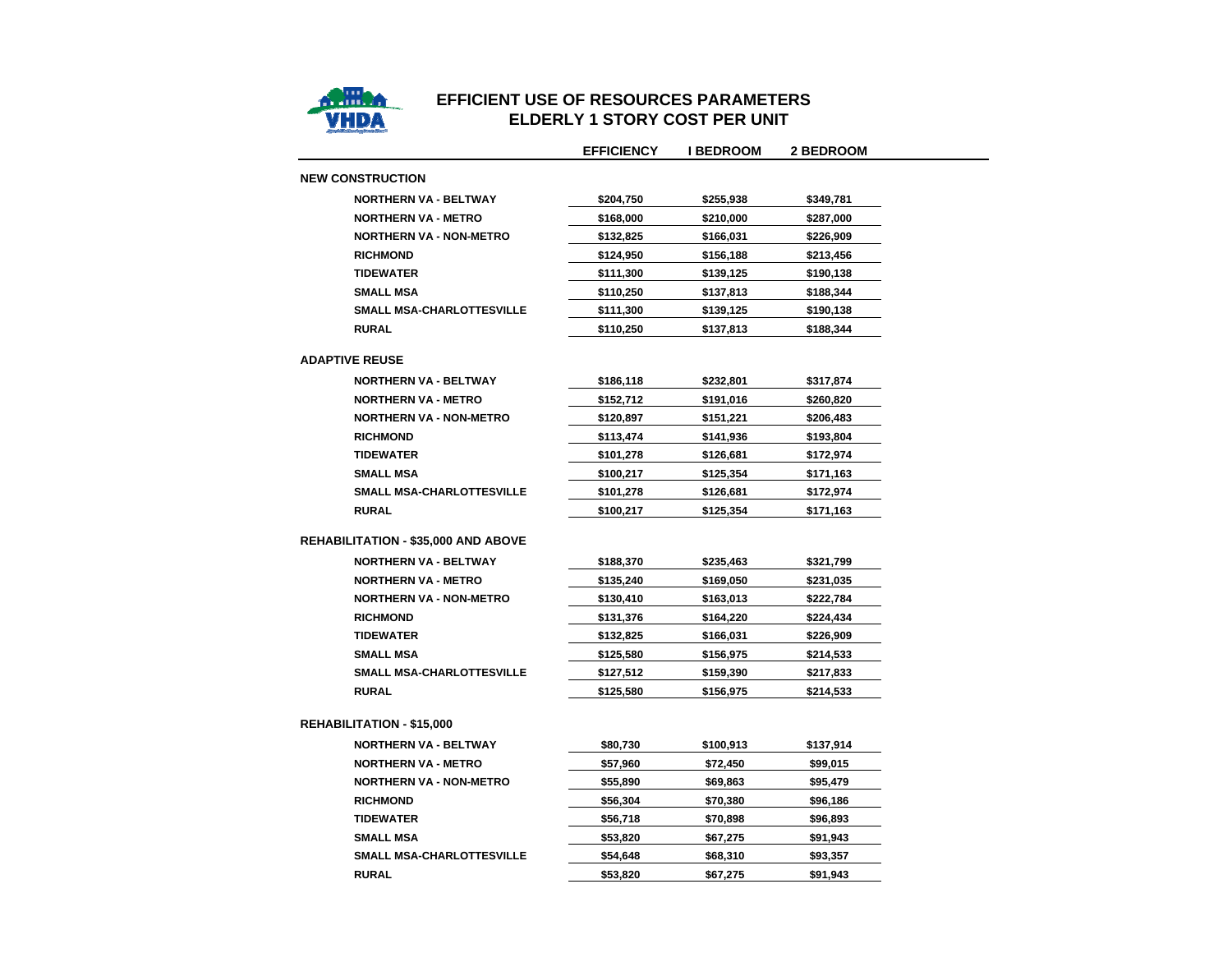

## **EFFICIENT USE OF RESOURCES PARAMETERS ELDERLY 1 STORY COST PER UNIT**

|                                            | <b>EFFICIENCY</b> | <b>I BEDROOM</b> | <b>2 BEDROOM</b> |
|--------------------------------------------|-------------------|------------------|------------------|
| <b>NEW CONSTRUCTION</b>                    |                   |                  |                  |
| <b>NORTHERN VA - BELTWAY</b>               | \$204,750         | \$255,938        | \$349,781        |
| <b>NORTHERN VA - METRO</b>                 | \$168,000         | \$210,000        | \$287,000        |
| <b>NORTHERN VA - NON-METRO</b>             | \$132,825         | \$166,031        | \$226,909        |
| <b>RICHMOND</b>                            | \$124,950         | \$156,188        | \$213,456        |
| <b>TIDEWATER</b>                           | \$111,300         | \$139,125        | \$190,138        |
| <b>SMALL MSA</b>                           | \$110,250         | \$137,813        | \$188,344        |
| SMALL MSA-CHARLOTTESVILLE                  | \$111,300         | \$139,125        | \$190,138        |
| <b>RURAL</b>                               | \$110,250         | \$137,813        | \$188,344        |
| <b>ADAPTIVE REUSE</b>                      |                   |                  |                  |
| <b>NORTHERN VA - BELTWAY</b>               | \$186,118         | \$232,801        | \$317,874        |
| <b>NORTHERN VA - METRO</b>                 | \$152,712         | \$191,016        | \$260,820        |
| <b>NORTHERN VA - NON-METRO</b>             | \$120,897         | \$151,221        | \$206,483        |
| <b>RICHMOND</b>                            | \$113,474         | \$141,936        | \$193,804        |
| <b>TIDEWATER</b>                           | \$101,278         | \$126,681        | \$172,974        |
| <b>SMALL MSA</b>                           | \$100,217         | \$125,354        | \$171,163        |
| SMALL MSA-CHARLOTTESVILLE                  | \$101,278         | \$126,681        | \$172,974        |
| <b>RURAL</b>                               | \$100,217         | \$125,354        | \$171,163        |
| <b>REHABILITATION - \$35,000 AND ABOVE</b> |                   |                  |                  |
| <b>NORTHERN VA - BELTWAY</b>               | \$188,370         | \$235,463        | \$321,799        |
| <b>NORTHERN VA - METRO</b>                 | \$135,240         | \$169,050        | \$231,035        |
| <b>NORTHERN VA - NON-METRO</b>             | \$130,410         | \$163,013        | \$222,784        |
| <b>RICHMOND</b>                            | \$131,376         | \$164,220        | \$224,434        |
| <b>TIDEWATER</b>                           | \$132,825         | \$166,031        | \$226,909        |
| <b>SMALL MSA</b>                           | \$125,580         | \$156,975        | \$214,533        |
| <b>SMALL MSA-CHARLOTTESVILLE</b>           | \$127,512         | \$159,390        | \$217,833        |
| <b>RURAL</b>                               | \$125,580         | \$156,975        | \$214,533        |
| <b>REHABILITATION - \$15,000</b>           |                   |                  |                  |
| <b>NORTHERN VA - BELTWAY</b>               | \$80,730          | \$100,913        | \$137,914        |
| <b>NORTHERN VA - METRO</b>                 | \$57,960          | \$72,450         | \$99,015         |
| <b>NORTHERN VA - NON-METRO</b>             | \$55,890          | \$69,863         | \$95,479         |
| <b>RICHMOND</b>                            | \$56,304          | \$70,380         | \$96,186         |
| <b>TIDEWATER</b>                           | \$56,718          | \$70,898         | \$96,893         |
| <b>SMALL MSA</b>                           | \$53,820          | \$67,275         | \$91,943         |
| <b>SMALL MSA-CHARLOTTESVILLE</b>           | \$54,648          | \$68,310         | \$93,357         |
| <b>RURAL</b>                               | \$53,820          | \$67,275         | \$91,943         |
|                                            |                   |                  |                  |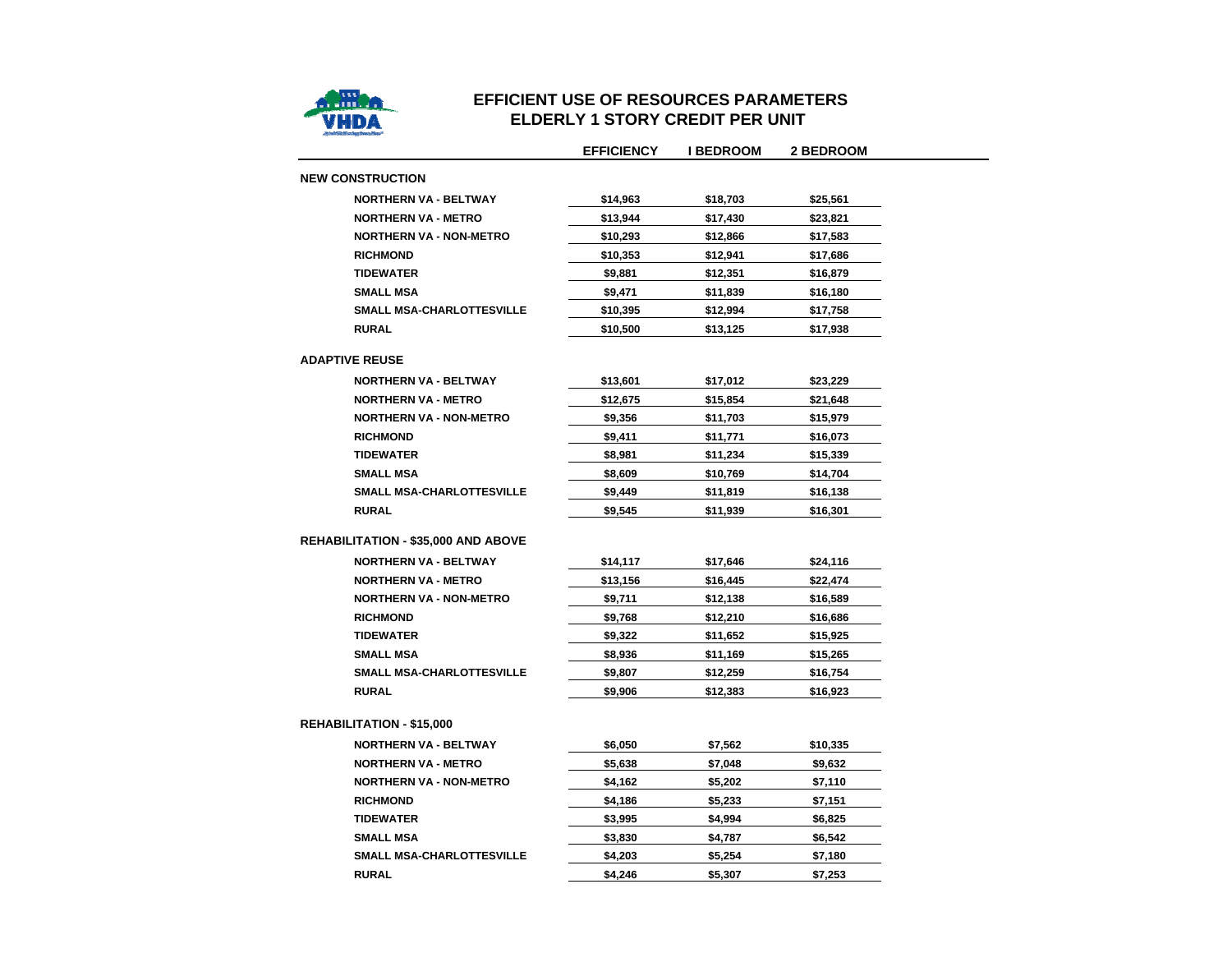

#### **EFFICIENT USE OF RESOURCES PARAMETERS ELDERLY 1 STORY CREDIT PER UNIT**

 $\overline{\phantom{0}}$ 

|                                            | <b>EFFICIENCY</b> | <b>I BEDROOM</b> | 2 BEDROOM |
|--------------------------------------------|-------------------|------------------|-----------|
| <b>NEW CONSTRUCTION</b>                    |                   |                  |           |
| <b>NORTHERN VA - BELTWAY</b>               | \$14,963          | \$18,703         | \$25,561  |
| <b>NORTHERN VA - METRO</b>                 | \$13,944          | \$17,430         | \$23,821  |
| <b>NORTHERN VA - NON-METRO</b>             | \$10,293          | \$12,866         | \$17,583  |
| <b>RICHMOND</b>                            | \$10,353          | \$12,941         | \$17,686  |
| <b>TIDEWATER</b>                           | \$9,881           | \$12,351         | \$16,879  |
| <b>SMALL MSA</b>                           | \$9,471           | \$11,839         | \$16,180  |
| <b>SMALL MSA-CHARLOTTESVILLE</b>           | \$10,395          | \$12,994         | \$17,758  |
| <b>RURAL</b>                               | \$10,500          | \$13,125         | \$17,938  |
| <b>ADAPTIVE REUSE</b>                      |                   |                  |           |
| <b>NORTHERN VA - BELTWAY</b>               | \$13,601          | \$17,012         | \$23,229  |
| <b>NORTHERN VA - METRO</b>                 | \$12,675          | \$15,854         | \$21,648  |
| <b>NORTHERN VA - NON-METRO</b>             | \$9,356           | \$11,703         | \$15,979  |
| <b>RICHMOND</b>                            | \$9,411           | \$11,771         | \$16,073  |
| <b>TIDEWATER</b>                           | \$8,981           | \$11,234         | \$15,339  |
| <b>SMALL MSA</b>                           | \$8,609           | \$10,769         | \$14,704  |
| <b>SMALL MSA-CHARLOTTESVILLE</b>           | \$9,449           | \$11,819         | \$16,138  |
| <b>RURAL</b>                               | \$9,545           | \$11,939         | \$16,301  |
|                                            |                   |                  |           |
| <b>REHABILITATION - \$35,000 AND ABOVE</b> |                   |                  |           |
| <b>NORTHERN VA - BELTWAY</b>               | \$14,117          | \$17,646         | \$24,116  |
| <b>NORTHERN VA - METRO</b>                 | \$13,156          | \$16,445         | \$22,474  |
| <b>NORTHERN VA - NON-METRO</b>             | \$9,711           | \$12,138         | \$16,589  |
| <b>RICHMOND</b>                            | \$9,768           | \$12,210         | \$16,686  |
| <b>TIDEWATER</b>                           | \$9,322           | \$11,652         | \$15,925  |
| <b>SMALL MSA</b>                           | \$8,936           | \$11,169         | \$15,265  |
| <b>SMALL MSA-CHARLOTTESVILLE</b>           | \$9,807           | \$12,259         | \$16,754  |
| <b>RURAL</b>                               | \$9,906           | \$12,383         | \$16,923  |
| <b>REHABILITATION - \$15,000</b>           |                   |                  |           |
| <b>NORTHERN VA - BELTWAY</b>               | \$6,050           | \$7,562          | \$10,335  |
| <b>NORTHERN VA - METRO</b>                 | \$5,638           | \$7,048          | \$9,632   |
| <b>NORTHERN VA - NON-METRO</b>             | \$4,162           | \$5,202          | \$7,110   |
| <b>RICHMOND</b>                            | \$4,186           | \$5,233          | \$7,151   |
| <b>TIDEWATER</b>                           | \$3,995           | \$4,994          | \$6,825   |
| <b>SMALL MSA</b>                           | \$3,830           | \$4,787          | \$6,542   |
| SMALL MSA-CHARLOTTESVILLE                  | \$4,203           | \$5,254          | \$7,180   |
| <b>RURAL</b>                               | \$4,246           | \$5,307          | \$7,253   |
|                                            |                   |                  |           |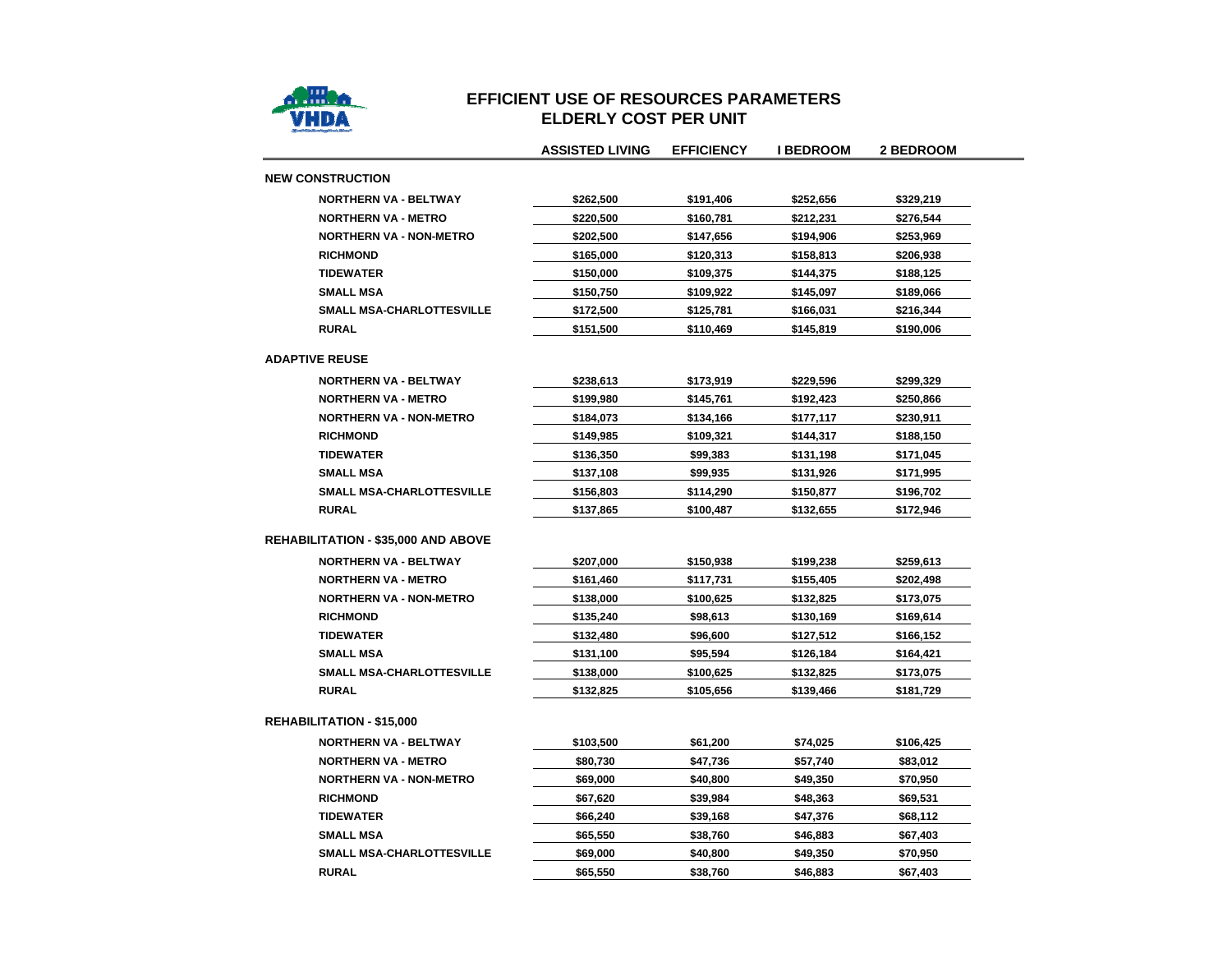

#### **EFFICIENT USE OF RESOURCES PARAMETERSELDERLY COST PER UNIT**

|                                            | <b>ASSISTED LIVING</b> | <b>EFFICIENCY</b> | I BEDROOM | 2 BEDROOM |
|--------------------------------------------|------------------------|-------------------|-----------|-----------|
| <b>NEW CONSTRUCTION</b>                    |                        |                   |           |           |
| <b>NORTHERN VA - BELTWAY</b>               | \$262,500              | \$191,406         | \$252,656 | \$329,219 |
| <b>NORTHERN VA - METRO</b>                 | \$220,500              | \$160,781         | \$212,231 | \$276,544 |
| <b>NORTHERN VA - NON-METRO</b>             | \$202,500              | \$147,656         | \$194,906 | \$253,969 |
| <b>RICHMOND</b>                            | \$165,000              | \$120,313         | \$158,813 | \$206,938 |
| <b>TIDEWATER</b>                           | \$150,000              | \$109,375         | \$144,375 | \$188,125 |
| <b>SMALL MSA</b>                           | \$150,750              | \$109,922         | \$145,097 | \$189,066 |
| <b>SMALL MSA-CHARLOTTESVILLE</b>           | \$172,500              | \$125,781         | \$166,031 | \$216,344 |
| <b>RURAL</b>                               | \$151,500              | \$110,469         | \$145,819 | \$190,006 |
| <b>ADAPTIVE REUSE</b>                      |                        |                   |           |           |
| <b>NORTHERN VA - BELTWAY</b>               | \$238,613              | \$173,919         | \$229,596 | \$299,329 |
| <b>NORTHERN VA - METRO</b>                 | \$199,980              | \$145,761         | \$192,423 | \$250,866 |
| <b>NORTHERN VA - NON-METRO</b>             | \$184,073              | \$134,166         | \$177,117 | \$230,911 |
| <b>RICHMOND</b>                            | \$149,985              | \$109,321         | \$144,317 | \$188,150 |
| <b>TIDEWATER</b>                           | \$136,350              | \$99,383          | \$131,198 | \$171,045 |
| <b>SMALL MSA</b>                           | \$137,108              | \$99,935          | \$131,926 | \$171,995 |
| SMALL MSA-CHARLOTTESVILLE                  | \$156,803              | \$114,290         | \$150,877 | \$196,702 |
| <b>RURAL</b>                               | \$137,865              | \$100,487         | \$132,655 | \$172,946 |
| <b>REHABILITATION - \$35,000 AND ABOVE</b> |                        |                   |           |           |
| <b>NORTHERN VA - BELTWAY</b>               | \$207,000              | \$150,938         | \$199,238 | \$259,613 |
| <b>NORTHERN VA - METRO</b>                 | \$161,460              | \$117,731         | \$155,405 | \$202,498 |
| <b>NORTHERN VA - NON-METRO</b>             | \$138,000              | \$100,625         | \$132,825 | \$173,075 |
| <b>RICHMOND</b>                            | \$135,240              | \$98,613          | \$130,169 | \$169,614 |
| <b>TIDEWATER</b>                           | \$132,480              | \$96,600          | \$127,512 | \$166,152 |
| <b>SMALL MSA</b>                           | \$131,100              | \$95,594          | \$126,184 | \$164,421 |
| SMALL MSA-CHARLOTTESVILLE                  | \$138,000              | \$100,625         | \$132,825 | \$173,075 |
| <b>RURAL</b>                               | \$132,825              | \$105,656         | \$139,466 | \$181,729 |
| <b>REHABILITATION - \$15,000</b>           |                        |                   |           |           |
| <b>NORTHERN VA - BELTWAY</b>               | \$103,500              | \$61,200          | \$74,025  | \$106,425 |
| <b>NORTHERN VA - METRO</b>                 | \$80,730               | \$47,736          | \$57,740  | \$83,012  |
| <b>NORTHERN VA - NON-METRO</b>             | \$69,000               | \$40,800          | \$49,350  | \$70,950  |
| <b>RICHMOND</b>                            | \$67,620               | \$39,984          | \$48,363  | \$69,531  |
| <b>TIDEWATER</b>                           | \$66,240               | \$39,168          | \$47,376  | \$68,112  |
| <b>SMALL MSA</b>                           | \$65,550               | \$38,760          | \$46,883  | \$67,403  |
| <b>SMALL MSA-CHARLOTTESVILLE</b>           | \$69,000               | \$40,800          | \$49,350  | \$70,950  |
| <b>RURAL</b>                               | \$65,550               | \$38,760          | \$46,883  | \$67,403  |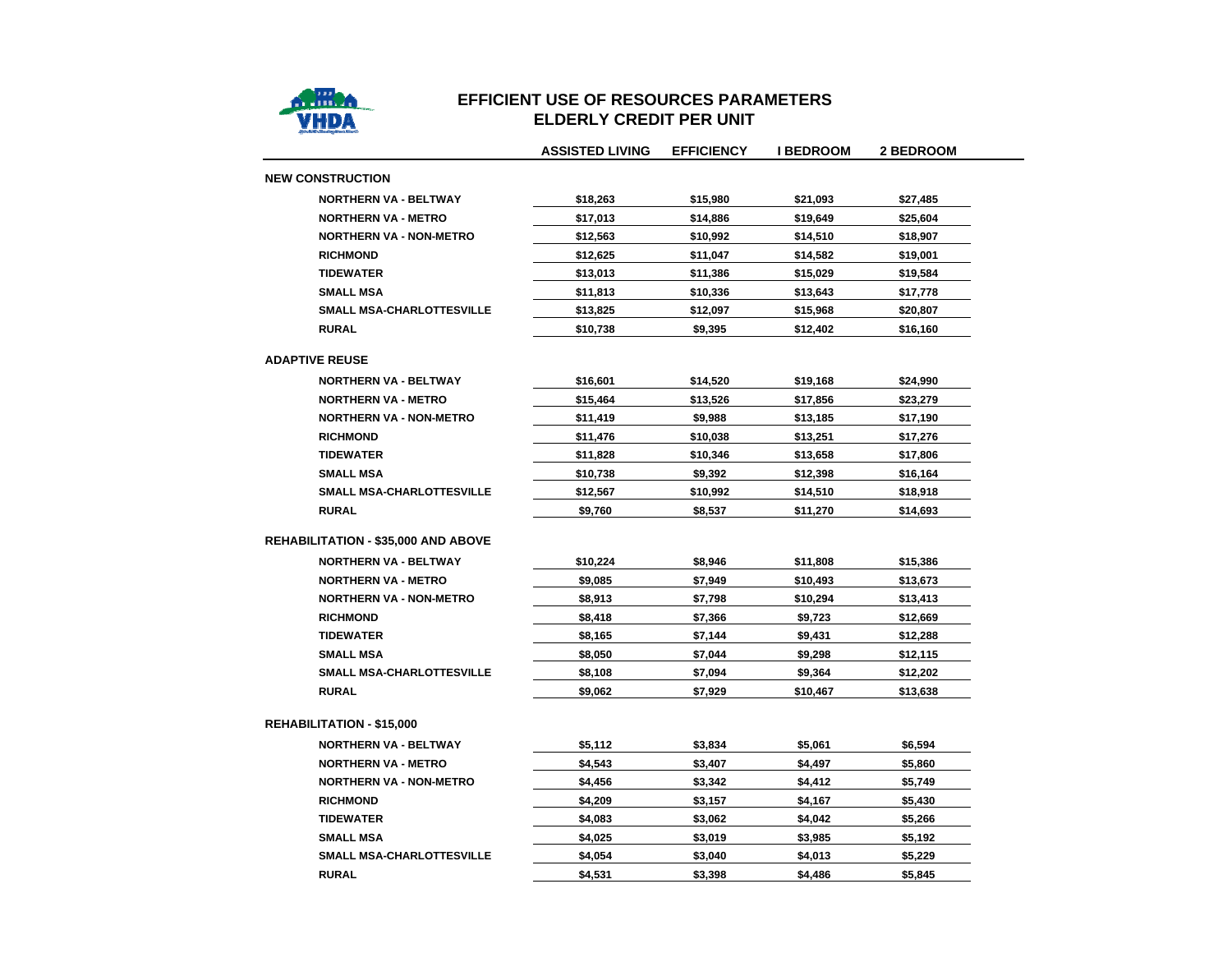

## **EFFICIENT USE OF RESOURCES PARAMETERSELDERLY CREDIT PER UNIT**

|                                            | <b>ASSISTED LIVING</b> | <b>EFFICIENCY</b> | <b>I BEDROOM</b> | <b>2 BEDROOM</b> |
|--------------------------------------------|------------------------|-------------------|------------------|------------------|
| <b>NEW CONSTRUCTION</b>                    |                        |                   |                  |                  |
| <b>NORTHERN VA - BELTWAY</b>               | \$18,263               | \$15,980          | \$21,093         | \$27,485         |
| <b>NORTHERN VA - METRO</b>                 | \$17,013               | \$14,886          | \$19,649         | \$25,604         |
| <b>NORTHERN VA - NON-METRO</b>             | \$12,563               | \$10,992          | \$14,510         | \$18,907         |
| <b>RICHMOND</b>                            | \$12,625               | \$11,047          | \$14,582         | \$19,001         |
| <b>TIDEWATER</b>                           | \$13,013               | \$11,386          | \$15,029         | \$19,584         |
| <b>SMALL MSA</b>                           | \$11,813               | \$10,336          | \$13,643         | \$17,778         |
| <b>SMALL MSA-CHARLOTTESVILLE</b>           | \$13,825               | \$12,097          | \$15,968         | \$20,807         |
| <b>RURAL</b>                               | \$10,738               | \$9,395           | \$12,402         | \$16,160         |
| <b>ADAPTIVE REUSE</b>                      |                        |                   |                  |                  |
| <b>NORTHERN VA - BELTWAY</b>               | \$16,601               | \$14,520          | \$19,168         | \$24,990         |
| <b>NORTHERN VA - METRO</b>                 | \$15,464               | \$13,526          | \$17,856         | \$23,279         |
| <b>NORTHERN VA - NON-METRO</b>             | \$11,419               | \$9,988           | \$13,185         | \$17,190         |
| <b>RICHMOND</b>                            | \$11,476               | \$10,038          | \$13,251         | \$17,276         |
| <b>TIDEWATER</b>                           | \$11,828               | \$10,346          | \$13,658         | \$17,806         |
| <b>SMALL MSA</b>                           | \$10,738               | \$9,392           | \$12,398         | \$16,164         |
| SMALL MSA-CHARLOTTESVILLE                  | \$12,567               | \$10,992          | \$14,510         | \$18,918         |
| <b>RURAL</b>                               | \$9,760                | \$8,537           | \$11,270         | \$14,693         |
| <b>REHABILITATION - \$35,000 AND ABOVE</b> |                        |                   |                  |                  |
| <b>NORTHERN VA - BELTWAY</b>               | \$10,224               | \$8,946           | \$11,808         | \$15,386         |
| <b>NORTHERN VA - METRO</b>                 | \$9,085                | \$7,949           | \$10,493         | \$13,673         |
| <b>NORTHERN VA - NON-METRO</b>             | \$8,913                | \$7,798           | \$10,294         | \$13,413         |
| <b>RICHMOND</b>                            | \$8,418                | \$7,366           | \$9,723          | \$12,669         |
| <b>TIDEWATER</b>                           | \$8,165                | \$7,144           | \$9,431          | \$12,288         |
| <b>SMALL MSA</b>                           | \$8,050                | \$7,044           | \$9,298          | \$12,115         |
| SMALL MSA-CHARLOTTESVILLE                  | \$8,108                | \$7,094           | \$9,364          | \$12,202         |
| <b>RURAL</b>                               | \$9,062                | \$7,929           | \$10,467         | \$13,638         |
| <b>REHABILITATION - \$15,000</b>           |                        |                   |                  |                  |
| <b>NORTHERN VA - BELTWAY</b>               | \$5,112                | \$3,834           | \$5,061          | \$6,594          |
| <b>NORTHERN VA - METRO</b>                 | \$4,543                | \$3,407           | \$4,497          | \$5,860          |
| <b>NORTHERN VA - NON-METRO</b>             | \$4,456                | \$3,342           | \$4,412          | \$5,749          |
| <b>RICHMOND</b>                            | \$4,209                | \$3,157           | \$4,167          | \$5,430          |
| <b>TIDEWATER</b>                           | \$4,083                | \$3,062           | \$4,042          | \$5,266          |
| <b>SMALL MSA</b>                           | \$4,025                | \$3,019           | \$3,985          | \$5,192          |
| SMALL MSA-CHARLOTTESVILLE                  | \$4,054                | \$3,040           | \$4,013          | \$5,229          |
| <b>RURAL</b>                               | \$4,531                | \$3,398           | \$4,486          | \$5,845          |
|                                            |                        |                   |                  |                  |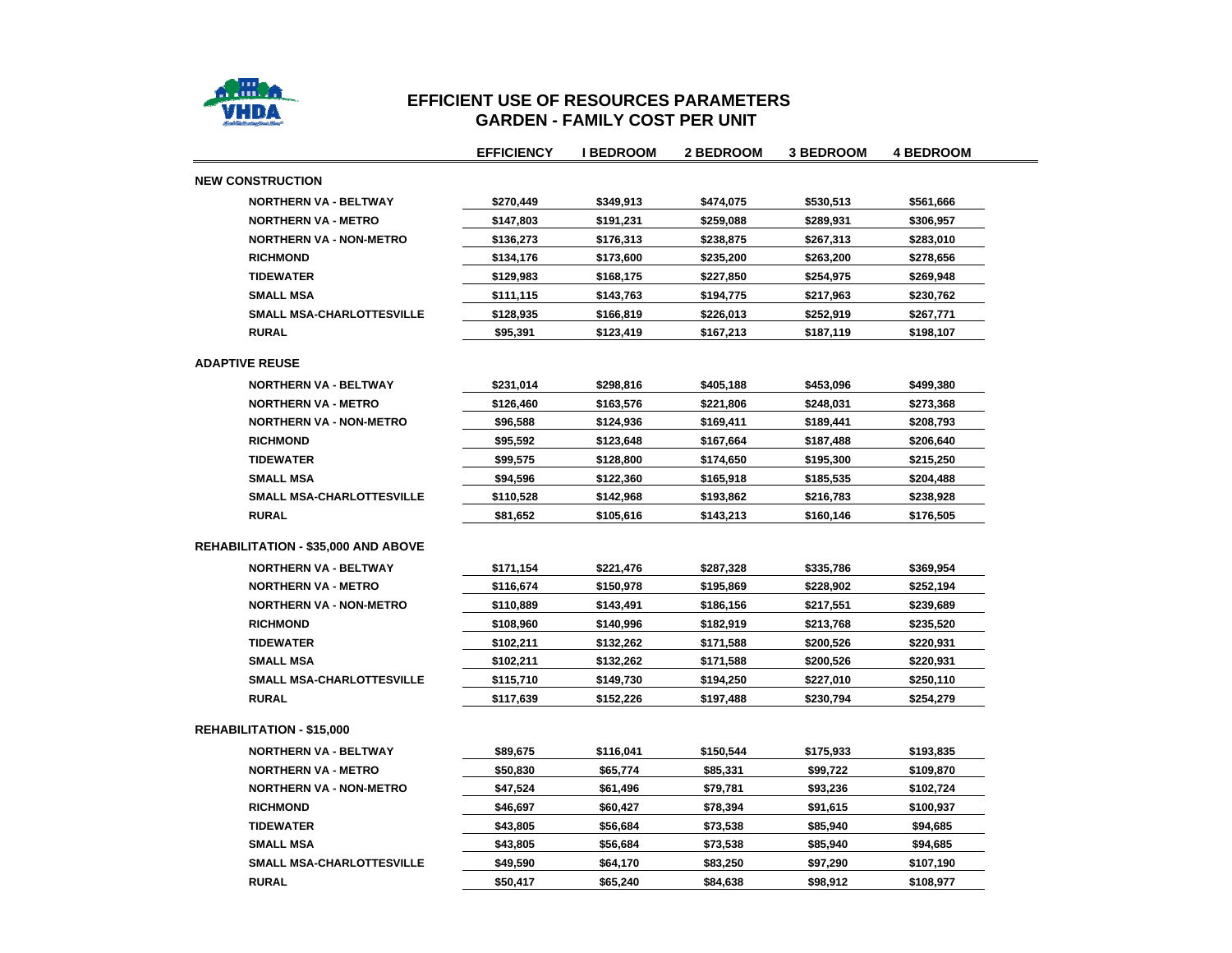

#### **EFFICIENT USE OF RESOURCES PARAMETERS GARDEN - FAMILY COST PER UNI T**

|                                            | <b>EFFICIENCY</b> | <b>I BEDROOM</b> | 2 BEDROOM | <b>3 BEDROOM</b> | <b>4 BEDROOM</b> |
|--------------------------------------------|-------------------|------------------|-----------|------------------|------------------|
| <b>NEW CONSTRUCTION</b>                    |                   |                  |           |                  |                  |
| <b>NORTHERN VA - BELTWAY</b>               | \$270,449         | \$349,913        | \$474,075 | \$530,513        | \$561,666        |
| <b>NORTHERN VA - METRO</b>                 | \$147,803         | \$191,231        | \$259,088 | \$289,931        | \$306,957        |
| <b>NORTHERN VA - NON-METRO</b>             | \$136,273         | \$176,313        | \$238,875 | \$267,313        | \$283,010        |
| <b>RICHMOND</b>                            | \$134,176         | \$173,600        | \$235,200 | \$263,200        | \$278,656        |
| <b>TIDEWATER</b>                           | \$129,983         | \$168,175        | \$227,850 | \$254,975        | \$269,948        |
| <b>SMALL MSA</b>                           | \$111,115         | \$143,763        | \$194,775 | \$217,963        | \$230,762        |
| SMALL MSA-CHARLOTTESVILLE                  | \$128,935         | \$166,819        | \$226,013 | \$252,919        | \$267,771        |
| <b>RURAL</b>                               | \$95,391          | \$123,419        | \$167,213 | \$187,119        | \$198,107        |
| <b>ADAPTIVE REUSE</b>                      |                   |                  |           |                  |                  |
| <b>NORTHERN VA - BELTWAY</b>               | \$231,014         | \$298,816        | \$405,188 | \$453,096        | \$499,380        |
| <b>NORTHERN VA - METRO</b>                 | \$126,460         | \$163,576        | \$221,806 | \$248,031        | \$273,368        |
| <b>NORTHERN VA - NON-METRO</b>             | \$96,588          | \$124,936        | \$169,411 | \$189,441        | \$208,793        |
| <b>RICHMOND</b>                            | \$95,592          | \$123,648        | \$167,664 | \$187,488        | \$206,640        |
| <b>TIDEWATER</b>                           | \$99,575          | \$128,800        | \$174,650 | \$195,300        | \$215,250        |
| <b>SMALL MSA</b>                           | \$94,596          | \$122,360        | \$165,918 | \$185,535        | \$204,488        |
| <b>SMALL MSA-CHARLOTTESVILLE</b>           | \$110,528         | \$142,968        | \$193,862 | \$216,783        | \$238,928        |
| <b>RURAL</b>                               | \$81,652          | \$105,616        | \$143,213 | \$160,146        | \$176,505        |
| <b>REHABILITATION - \$35,000 AND ABOVE</b> |                   |                  |           |                  |                  |
| <b>NORTHERN VA - BELTWAY</b>               | \$171,154         | \$221,476        | \$287,328 | \$335,786        | \$369,954        |
| <b>NORTHERN VA - METRO</b>                 | \$116,674         | \$150.978        | \$195,869 | \$228,902        | \$252,194        |
| <b>NORTHERN VA - NON-METRO</b>             | \$110,889         | \$143,491        | \$186,156 | \$217,551        | \$239,689        |
| <b>RICHMOND</b>                            | \$108,960         | \$140,996        | \$182,919 | \$213,768        | \$235,520        |
| <b>TIDEWATER</b>                           | \$102,211         | \$132,262        | \$171,588 | \$200,526        | \$220,931        |
| <b>SMALL MSA</b>                           | \$102,211         | \$132,262        | \$171,588 | \$200,526        | \$220,931        |
| SMALL MSA-CHARLOTTESVILLE                  | \$115,710         | \$149,730        | \$194,250 | \$227,010        | \$250,110        |
| <b>RURAL</b>                               | \$117,639         | \$152,226        | \$197,488 | \$230,794        | \$254,279        |
| <b>REHABILITATION - \$15,000</b>           |                   |                  |           |                  |                  |
| <b>NORTHERN VA - BELTWAY</b>               | \$89,675          | \$116,041        | \$150,544 | \$175,933        | \$193,835        |
| <b>NORTHERN VA - METRO</b>                 | \$50,830          | \$65,774         | \$85,331  | \$99,722         | \$109,870        |
| <b>NORTHERN VA - NON-METRO</b>             | \$47,524          | \$61,496         | \$79,781  | \$93,236         | \$102,724        |
| <b>RICHMOND</b>                            | \$46,697          | \$60,427         | \$78,394  | \$91,615         | \$100,937        |
| <b>TIDEWATER</b>                           | \$43,805          | \$56,684         | \$73,538  | \$85,940         | \$94,685         |
| <b>SMALL MSA</b>                           | \$43,805          | \$56,684         | \$73,538  | \$85,940         | \$94,685         |
| <b>SMALL MSA-CHARLOTTESVILLE</b>           | \$49,590          | \$64,170         | \$83,250  | \$97,290         | \$107,190        |
| <b>RURAL</b>                               | \$50,417          | \$65,240         | \$84,638  | \$98,912         | \$108,977        |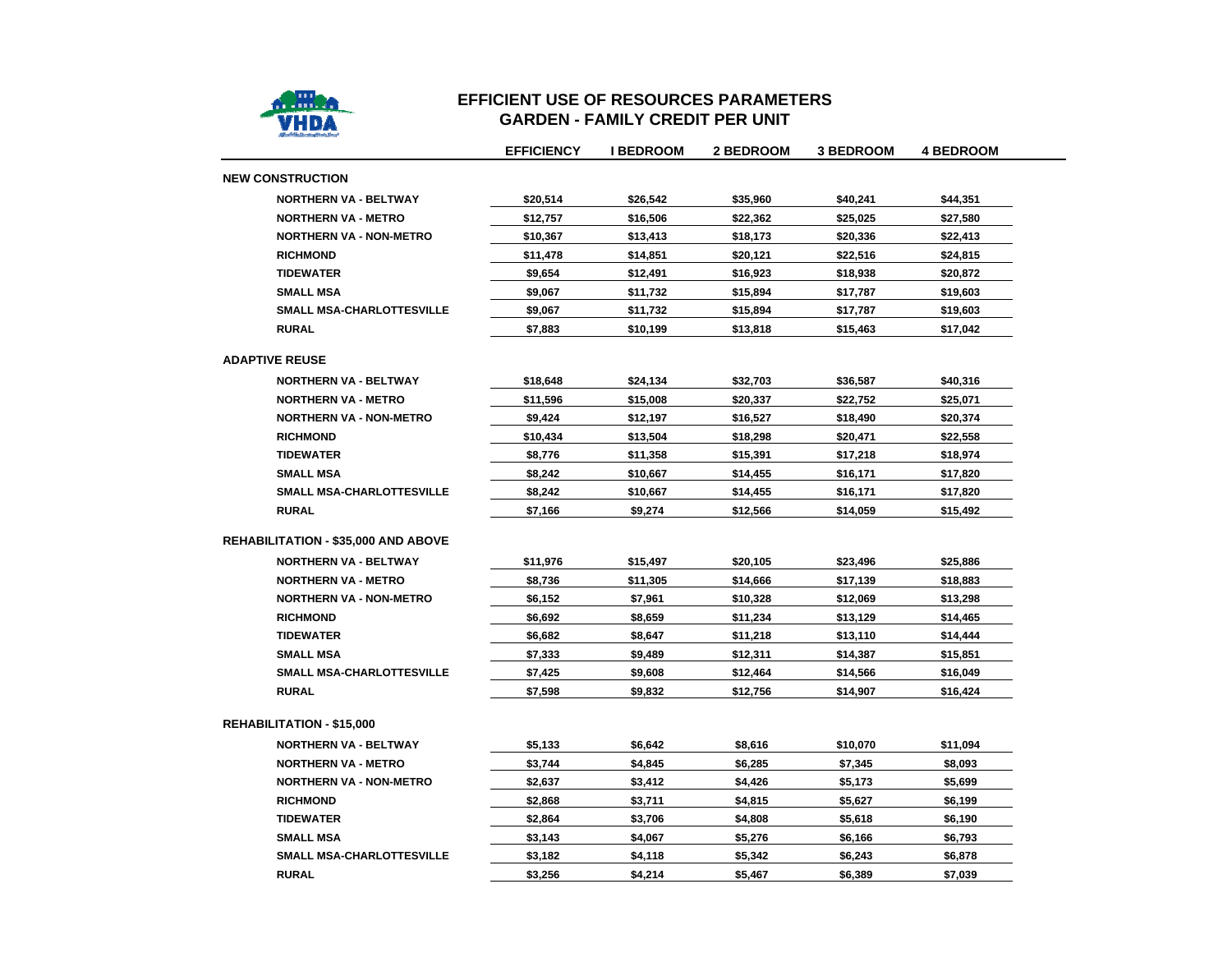

### **EFFICIENT USE OF RESOURCES PARAMETERSGARDEN - FAMILY CREDIT PER UNIT**

|                                            | <b>EFFICIENCY</b> | <b>I BEDROOM</b> | <b>2 BEDROOM</b> | <b>3 BEDROOM</b> | <b>4 BEDROOM</b> |
|--------------------------------------------|-------------------|------------------|------------------|------------------|------------------|
| <b>NEW CONSTRUCTION</b>                    |                   |                  |                  |                  |                  |
| <b>NORTHERN VA - BELTWAY</b>               | \$20,514          | \$26,542         | \$35,960         | \$40,241         | \$44,351         |
| <b>NORTHERN VA - METRO</b>                 | \$12,757          | \$16,506         | \$22,362         | \$25,025         | \$27,580         |
| <b>NORTHERN VA - NON-METRO</b>             | \$10,367          | \$13,413         | \$18,173         | \$20,336         | \$22,413         |
| <b>RICHMOND</b>                            | \$11,478          | \$14,851         | \$20,121         | \$22,516         | \$24,815         |
| <b>TIDEWATER</b>                           | \$9,654           | \$12,491         | \$16,923         | \$18,938         | \$20,872         |
| <b>SMALL MSA</b>                           | \$9,067           | \$11,732         | \$15,894         | \$17,787         | \$19,603         |
| SMALL MSA-CHARLOTTESVILLE                  | \$9,067           | \$11,732         | \$15,894         | \$17,787         | \$19,603         |
| <b>RURAL</b>                               | \$7,883           | \$10,199         | \$13,818         | \$15,463         | \$17,042         |
| <b>ADAPTIVE REUSE</b>                      |                   |                  |                  |                  |                  |
| <b>NORTHERN VA - BELTWAY</b>               | \$18,648          | \$24,134         | \$32,703         | \$36,587         | \$40,316         |
| <b>NORTHERN VA - METRO</b>                 | \$11.596          | \$15,008         | \$20,337         | \$22,752         | \$25,071         |
| <b>NORTHERN VA - NON-METRO</b>             | \$9,424           | \$12,197         | \$16,527         | \$18,490         | \$20,374         |
| <b>RICHMOND</b>                            | \$10,434          | \$13,504         | \$18,298         | \$20,471         | \$22,558         |
| <b>TIDEWATER</b>                           | \$8,776           | \$11,358         | \$15,391         | \$17,218         | \$18,974         |
| <b>SMALL MSA</b>                           | \$8,242           | \$10,667         | \$14,455         | \$16,171         | \$17,820         |
| <b>SMALL MSA-CHARLOTTESVILLE</b>           | \$8,242           | \$10,667         | \$14,455         | \$16,171         | \$17,820         |
| <b>RURAL</b>                               | \$7,166           | \$9,274          | \$12,566         | \$14,059         | \$15,492         |
| <b>REHABILITATION - \$35,000 AND ABOVE</b> |                   |                  |                  |                  |                  |
| <b>NORTHERN VA - BELTWAY</b>               | \$11,976          | \$15,497         | \$20,105         | \$23,496         | \$25,886         |
| <b>NORTHERN VA - METRO</b>                 | \$8,736           | \$11,305         | \$14,666         | \$17,139         | \$18,883         |
| <b>NORTHERN VA - NON-METRO</b>             | \$6,152           | \$7,961          | \$10,328         | \$12,069         | \$13,298         |
| <b>RICHMOND</b>                            | \$6,692           | \$8,659          | \$11,234         | \$13,129         | \$14,465         |
| <b>TIDEWATER</b>                           | \$6,682           | \$8,647          | \$11,218         | \$13,110         | \$14,444         |
| <b>SMALL MSA</b>                           | \$7,333           | \$9,489          | \$12,311         | \$14,387         | \$15,851         |
| SMALL MSA-CHARLOTTESVILLE                  | \$7,425           | \$9,608          | \$12,464         | \$14,566         | \$16,049         |
| <b>RURAL</b>                               | \$7,598           | \$9,832          | \$12,756         | \$14,907         | \$16,424         |
| <b>REHABILITATION - \$15,000</b>           |                   |                  |                  |                  |                  |
| <b>NORTHERN VA - BELTWAY</b>               | \$5,133           | \$6,642          | \$8,616          | \$10,070         | \$11,094         |
| <b>NORTHERN VA - METRO</b>                 | \$3,744           | \$4,845          | \$6,285          | \$7,345          | \$8,093          |
| <b>NORTHERN VA - NON-METRO</b>             | \$2,637           | \$3,412          | \$4,426          | \$5,173          | \$5,699          |
| <b>RICHMOND</b>                            | \$2,868           | \$3,711          | \$4,815          | \$5,627          | \$6,199          |
| <b>TIDEWATER</b>                           | \$2,864           | \$3,706          | \$4,808          | \$5,618          | \$6,190          |
| <b>SMALL MSA</b>                           | \$3,143           | \$4,067          | \$5,276          | \$6,166          | \$6,793          |
| <b>SMALL MSA-CHARLOTTESVILLE</b>           | \$3,182           | \$4,118          | \$5,342          | \$6,243          | \$6,878          |
| <b>RURAL</b>                               | \$3,256           | \$4,214          | \$5,467          | \$6,389          | \$7,039          |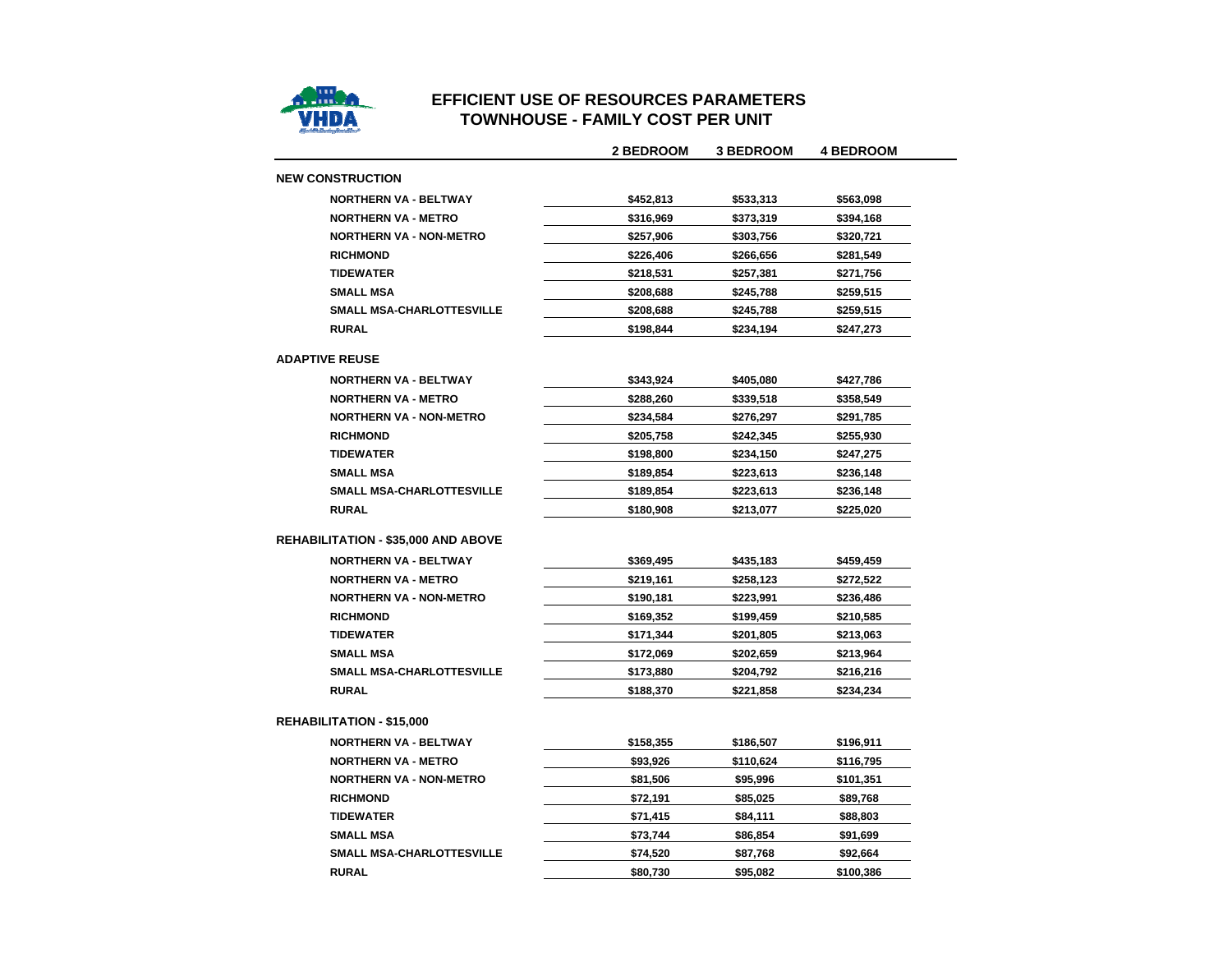

## **EFFICIENT USE OF RESOURCES PARAMETERSTOWNHOUSE - FAMILY COST PER UNIT**

|                                            | <b>2 BEDROOM</b> | <b>3 BEDROOM</b> | <b>4 BEDROOM</b> |
|--------------------------------------------|------------------|------------------|------------------|
| <b>NEW CONSTRUCTION</b>                    |                  |                  |                  |
| <b>NORTHERN VA - BELTWAY</b>               | \$452,813        | \$533,313        | \$563,098        |
| <b>NORTHERN VA - METRO</b>                 | \$316,969        | \$373,319        | \$394,168        |
| <b>NORTHERN VA - NON-METRO</b>             | \$257,906        | \$303,756        | \$320,721        |
| <b>RICHMOND</b>                            | \$226,406        | \$266,656        | \$281,549        |
| <b>TIDEWATER</b>                           | \$218,531        | \$257,381        | \$271,756        |
| <b>SMALL MSA</b>                           | \$208,688        | \$245,788        | \$259,515        |
| <b>SMALL MSA-CHARLOTTESVILLE</b>           | \$208,688        | \$245,788        | \$259,515        |
| <b>RURAL</b>                               | \$198,844        | \$234,194        | \$247,273        |
| <b>ADAPTIVE REUSE</b>                      |                  |                  |                  |
| <b>NORTHERN VA - BELTWAY</b>               | \$343,924        | \$405,080        | \$427,786        |
| <b>NORTHERN VA - METRO</b>                 | \$288.260        | \$339,518        | \$358,549        |
| <b>NORTHERN VA - NON-METRO</b>             | \$234,584        | \$276,297        | \$291,785        |
| <b>RICHMOND</b>                            | \$205,758        | \$242,345        | \$255,930        |
| <b>TIDEWATER</b>                           | \$198,800        | \$234,150        | \$247,275        |
| <b>SMALL MSA</b>                           | \$189,854        | \$223,613        | \$236,148        |
| <b>SMALL MSA-CHARLOTTESVILLE</b>           | \$189,854        | \$223,613        | \$236,148        |
| <b>RURAL</b>                               | \$180,908        | \$213,077        | \$225,020        |
| <b>REHABILITATION - \$35,000 AND ABOVE</b> |                  |                  |                  |
| <b>NORTHERN VA - BELTWAY</b>               | \$369,495        | \$435,183        | \$459,459        |
| <b>NORTHERN VA - METRO</b>                 | \$219,161        | \$258,123        | \$272,522        |
| <b>NORTHERN VA - NON-METRO</b>             | \$190,181        | \$223,991        | \$236,486        |
| <b>RICHMOND</b>                            | \$169,352        | \$199,459        | \$210,585        |
| <b>TIDEWATER</b>                           | \$171,344        | \$201,805        | \$213,063        |
| <b>SMALL MSA</b>                           | \$172,069        | \$202,659        | \$213,964        |
| SMALL MSA-CHARLOTTESVILLE                  | \$173,880        | \$204,792        | \$216,216        |
| <b>RURAL</b>                               | \$188,370        | \$221,858        | \$234,234        |
| <b>REHABILITATION - \$15,000</b>           |                  |                  |                  |
| <b>NORTHERN VA - BELTWAY</b>               | \$158,355        | \$186,507        | \$196,911        |
| <b>NORTHERN VA - METRO</b>                 | \$93,926         | \$110,624        | \$116,795        |
| <b>NORTHERN VA - NON-METRO</b>             | \$81,506         | \$95,996         | \$101,351        |
| <b>RICHMOND</b>                            | \$72,191         | \$85,025         | \$89,768         |
| <b>TIDEWATER</b>                           | \$71,415         | \$84,111         | \$88,803         |
| <b>SMALL MSA</b>                           | \$73,744         | \$86,854         | \$91,699         |
| <b>SMALL MSA-CHARLOTTESVILLE</b>           | \$74,520         | \$87,768         | \$92,664         |
| <b>RURAL</b>                               | \$80,730         | \$95,082         | \$100.386        |